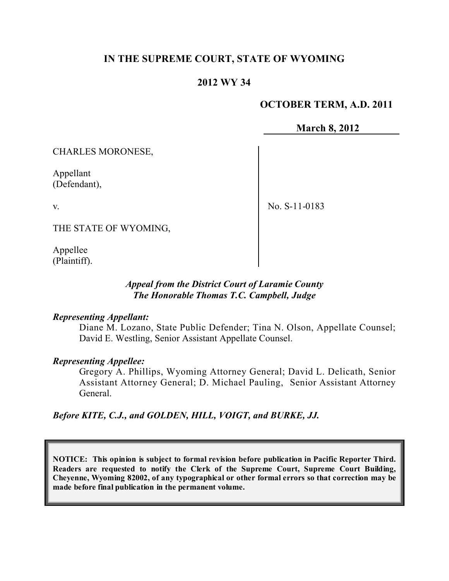# **IN THE SUPREME COURT, STATE OF WYOMING**

## **2012 WY 34**

## **OCTOBER TERM, A.D. 2011**

**March 8, 2012**

CHARLES MORONESE,

Appellant (Defendant),

v.

No. S-11-0183

THE STATE OF WYOMING,

Appellee (Plaintiff).

## *Appeal from the District Court of Laramie County The Honorable Thomas T.C. Campbell, Judge*

#### *Representing Appellant:*

Diane M. Lozano, State Public Defender; Tina N. Olson, Appellate Counsel; David E. Westling, Senior Assistant Appellate Counsel.

#### *Representing Appellee:*

Gregory A. Phillips, Wyoming Attorney General; David L. Delicath, Senior Assistant Attorney General; D. Michael Pauling, Senior Assistant Attorney General.

*Before KITE, C.J., and GOLDEN, HILL, VOIGT, and BURKE, JJ.*

**NOTICE: This opinion is subject to formal revision before publication in Pacific Reporter Third. Readers are requested to notify the Clerk of the Supreme Court, Supreme Court Building, Cheyenne, Wyoming 82002, of any typographical or other formal errors so that correction may be made before final publication in the permanent volume.**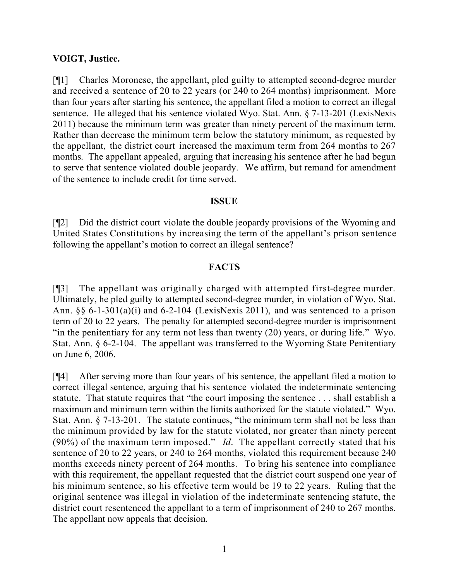#### **VOIGT, Justice.**

[¶1] Charles Moronese, the appellant, pled guilty to attempted second-degree murder and received a sentence of 20 to 22 years (or 240 to 264 months) imprisonment. More than four years after starting his sentence, the appellant filed a motion to correct an illegal sentence. He alleged that his sentence violated Wyo. Stat. Ann. § 7-13-201 (LexisNexis 2011) because the minimum term was greater than ninety percent of the maximum term. Rather than decrease the minimum term below the statutory minimum, as requested by the appellant, the district court increased the maximum term from 264 months to 267 months. The appellant appealed, arguing that increasing his sentence after he had begun to serve that sentence violated double jeopardy. We affirm, but remand for amendment of the sentence to include credit for time served.

## **ISSUE**

[¶2] Did the district court violate the double jeopardy provisions of the Wyoming and United States Constitutions by increasing the term of the appellant's prison sentence following the appellant's motion to correct an illegal sentence?

## **FACTS**

[¶3] The appellant was originally charged with attempted first-degree murder. Ultimately, he pled guilty to attempted second-degree murder, in violation of Wyo. Stat. Ann. §§ 6-1-301(a)(i) and 6-2-104 (LexisNexis 2011), and was sentenced to a prison term of 20 to 22 years. The penalty for attempted second-degree murder is imprisonment "in the penitentiary for any term not less than twenty (20) years, or during life." Wyo. Stat. Ann. § 6-2-104. The appellant was transferred to the Wyoming State Penitentiary on June 6, 2006.

[¶4] After serving more than four years of his sentence, the appellant filed a motion to correct illegal sentence, arguing that his sentence violated the indeterminate sentencing statute. That statute requires that "the court imposing the sentence . . . shall establish a maximum and minimum term within the limits authorized for the statute violated." Wyo. Stat. Ann. § 7-13-201. The statute continues, "the minimum term shall not be less than the minimum provided by law for the statute violated, nor greater than ninety percent (90%) of the maximum term imposed." *Id*. The appellant correctly stated that his sentence of 20 to 22 years, or 240 to 264 months, violated this requirement because 240 months exceeds ninety percent of 264 months. To bring his sentence into compliance with this requirement, the appellant requested that the district court suspend one year of his minimum sentence, so his effective term would be 19 to 22 years. Ruling that the original sentence was illegal in violation of the indeterminate sentencing statute, the district court resentenced the appellant to a term of imprisonment of 240 to 267 months. The appellant now appeals that decision.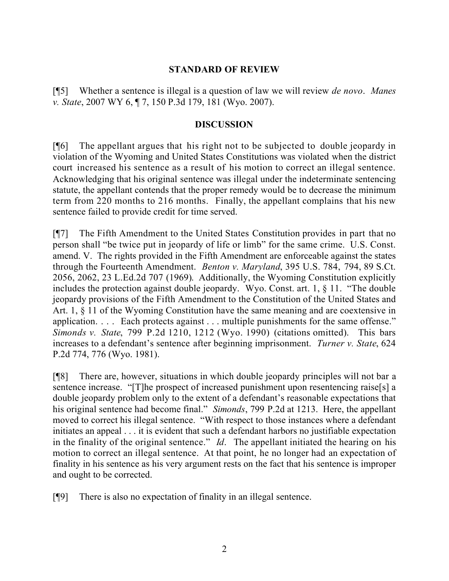## **STANDARD OF REVIEW**

[¶5] Whether a sentence is illegal is a question of law we will review *de novo*. *Manes v. State*, 2007 WY 6, ¶ 7, 150 P.3d 179, 181 (Wyo. 2007).

## **DISCUSSION**

[¶6] The appellant argues that his right not to be subjected to double jeopardy in violation of the Wyoming and United States Constitutions was violated when the district court increased his sentence as a result of his motion to correct an illegal sentence. Acknowledging that his original sentence was illegal under the indeterminate sentencing statute, the appellant contends that the proper remedy would be to decrease the minimum term from 220 months to 216 months. Finally, the appellant complains that his new sentence failed to provide credit for time served.

[¶7] The Fifth Amendment to the United States Constitution provides in part that no person shall "be twice put in jeopardy of life or limb" for the same crime. U.S. Const. amend. V. The rights provided in the Fifth Amendment are enforceable against the states through the Fourteenth Amendment. *Benton v. Maryland*, 395 U.S. 784, 794, 89 S.Ct. 2056, 2062, 23 L.Ed.2d 707 (1969). Additionally, the Wyoming Constitution explicitly includes the protection against double jeopardy. Wyo. Const. art. 1, § 11. "The double jeopardy provisions of the Fifth Amendment to the Constitution of the United States and Art. 1, § 11 of the Wyoming Constitution have the same meaning and are coextensive in application. . . . Each protects against . . . multiple punishments for the same offense." *Simonds v. State*, 799 P.2d 1210, 1212 (Wyo. 1990) (citations omitted). This bars increases to a defendant's sentence after beginning imprisonment. *Turner v. State*, 624 P.2d 774, 776 (Wyo. 1981).

[¶8] There are, however, situations in which double jeopardy principles will not bar a sentence increase. "[T]he prospect of increased punishment upon resentencing raise[s] a double jeopardy problem only to the extent of a defendant's reasonable expectations that his original sentence had become final." *Simonds*, 799 P.2d at 1213. Here, the appellant moved to correct his illegal sentence. "With respect to those instances where a defendant initiates an appeal . . . it is evident that such a defendant harbors no justifiable expectation in the finality of the original sentence." *Id*. The appellant initiated the hearing on his motion to correct an illegal sentence. At that point, he no longer had an expectation of finality in his sentence as his very argument rests on the fact that his sentence is improper and ought to be corrected.

[¶9] There is also no expectation of finality in an illegal sentence.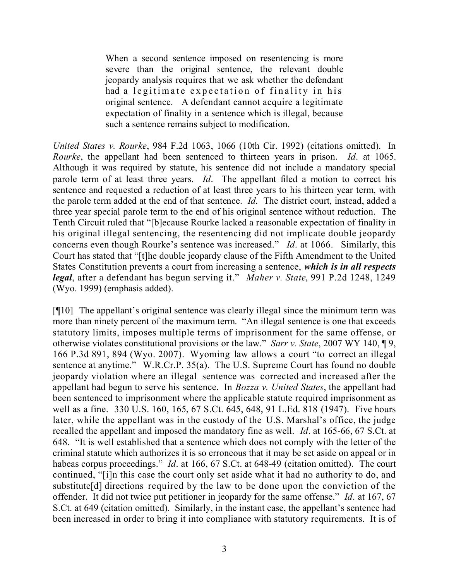When a second sentence imposed on resentencing is more severe than the original sentence, the relevant double jeopardy analysis requires that we ask whether the defendant had a legitimate expectation of finality in his original sentence. A defendant cannot acquire a legitimate expectation of finality in a sentence which is illegal, because such a sentence remains subject to modification.

*United States v. Rourke*, 984 F.2d 1063, 1066 (10th Cir. 1992) (citations omitted). In *Rourke*, the appellant had been sentenced to thirteen years in prison. *Id*. at 1065. Although it was required by statute, his sentence did not include a mandatory special parole term of at least three years. *Id*. The appellant filed a motion to correct his sentence and requested a reduction of at least three years to his thirteen year term, with the parole term added at the end of that sentence. *Id*. The district court, instead, added a three year special parole term to the end of his original sentence without reduction. The Tenth Circuit ruled that "[b]ecause Rourke lacked a reasonable expectation of finality in his original illegal sentencing, the resentencing did not implicate double jeopardy concerns even though Rourke's sentence was increased." *Id*. at 1066. Similarly, this Court has stated that "[t]he double jeopardy clause of the Fifth Amendment to the United States Constitution prevents a court from increasing a sentence, *which is in all respects legal*, after a defendant has begun serving it." *Maher v. State*, 991 P.2d 1248, 1249 (Wyo. 1999) (emphasis added).

[¶10] The appellant's original sentence was clearly illegal since the minimum term was more than ninety percent of the maximum term. "An illegal sentence is one that exceeds statutory limits, imposes multiple terms of imprisonment for the same offense, or otherwise violates constitutional provisions or the law." *Sarr v. State*, 2007 WY 140, ¶ 9, 166 P.3d 891, 894 (Wyo. 2007). Wyoming law allows a court "to correct an illegal sentence at anytime." W.R.Cr.P. 35(a). The U.S. Supreme Court has found no double jeopardy violation where an illegal sentence was corrected and increased after the appellant had begun to serve his sentence. In *Bozza v. United States*, the appellant had been sentenced to imprisonment where the applicable statute required imprisonment as well as a fine. 330 U.S. 160, 165, 67 S.Ct. 645, 648, 91 L.Ed. 818 (1947). Five hours later, while the appellant was in the custody of the U.S. Marshal's office, the judge recalled the appellant and imposed the mandatory fine as well. *Id*. at 165-66, 67 S.Ct. at 648. "It is well established that a sentence which does not comply with the letter of the criminal statute which authorizes it is so erroneous that it may be set aside on appeal or in habeas corpus proceedings." *Id*. at 166, 67 S.Ct. at 648-49 (citation omitted). The court continued, "[i]n this case the court only set aside what it had no authority to do, and substitute[d] directions required by the law to be done upon the conviction of the offender. It did not twice put petitioner in jeopardy for the same offense." *Id*. at 167, 67 S.Ct. at 649 (citation omitted). Similarly, in the instant case, the appellant's sentence had been increased in order to bring it into compliance with statutory requirements. It is of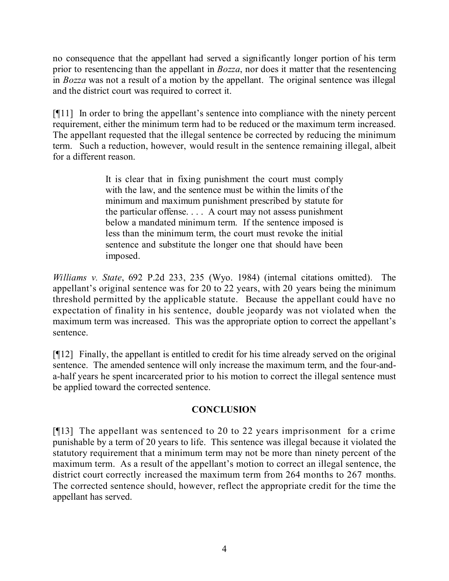no consequence that the appellant had served a significantly longer portion of his term prior to resentencing than the appellant in *Bozza*, nor does it matter that the resentencing in *Bozza* was not a result of a motion by the appellant. The original sentence was illegal and the district court was required to correct it.

[¶11] In order to bring the appellant's sentence into compliance with the ninety percent requirement, either the minimum term had to be reduced or the maximum term increased. The appellant requested that the illegal sentence be corrected by reducing the minimum term. Such a reduction, however, would result in the sentence remaining illegal, albeit for a different reason.

> It is clear that in fixing punishment the court must comply with the law, and the sentence must be within the limits of the minimum and maximum punishment prescribed by statute for the particular offense. . . . A court may not assess punishment below a mandated minimum term. If the sentence imposed is less than the minimum term, the court must revoke the initial sentence and substitute the longer one that should have been imposed.

*Williams v. State*, 692 P.2d 233, 235 (Wyo. 1984) (internal citations omitted). The appellant's original sentence was for 20 to 22 years, with 20 years being the minimum threshold permitted by the applicable statute. Because the appellant could have no expectation of finality in his sentence, double jeopardy was not violated when the maximum term was increased. This was the appropriate option to correct the appellant's sentence.

[¶12] Finally, the appellant is entitled to credit for his time already served on the original sentence. The amended sentence will only increase the maximum term, and the four-anda-half years he spent incarcerated prior to his motion to correct the illegal sentence must be applied toward the corrected sentence.

## **CONCLUSION**

[¶13] The appellant was sentenced to 20 to 22 years imprisonment for a crime punishable by a term of 20 years to life. This sentence was illegal because it violated the statutory requirement that a minimum term may not be more than ninety percent of the maximum term. As a result of the appellant's motion to correct an illegal sentence, the district court correctly increased the maximum term from 264 months to 267 months. The corrected sentence should, however, reflect the appropriate credit for the time the appellant has served.